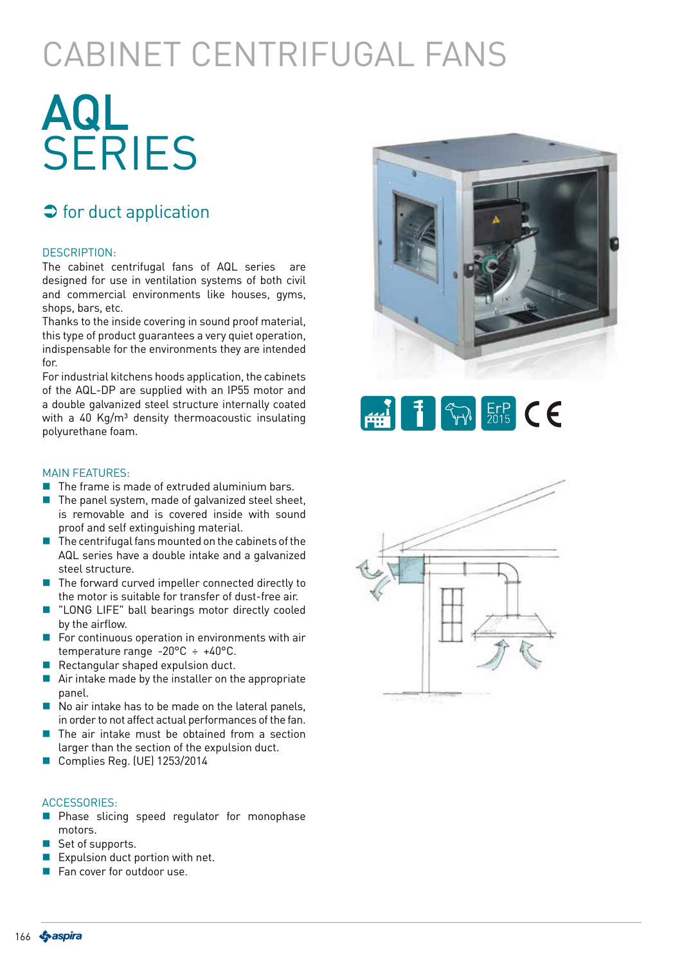## CABINET CENTRIFUGAL FANS

# AQL **SERIES**

## $\Rightarrow$  for duct application

#### DESCRIPTION:

The cabinet centrifugal fans of AQL series are designed for use in ventilation systems of both civil and commercial environments like houses, gyms, shops, bars, etc.

Thanks to the inside covering in sound proof material, this type of product guarantees a very quiet operation, indispensable for the environments they are intended for.

For industrial kitchens hoods application, the cabinets of the AQL-DP are supplied with an IP55 motor and a double galvanized steel structure internally coated with a 40 Kg/ $m<sup>3</sup>$  density thermoacoustic insulating polyurethane foam.

#### MAIN FEATURES:

- $\blacksquare$  The frame is made of extruded aluminium bars.
- $\blacksquare$  The panel system, made of galvanized steel sheet, is removable and is covered inside with sound proof and self extinguishing material.
- $\blacksquare$  The centrifugal fans mounted on the cabinets of the AQL series have a double intake and a galvanized steel structure.
- $\blacksquare$  The forward curved impeller connected directly to the motor is suitable for transfer of dust-free air.
- **U** "LONG LIFE" ball bearings motor directly cooled by the airflow.
- $\blacksquare$  For continuous operation in environments with air temperature range -20°C ÷ +40°C.
- Rectangular shaped expulsion duct.
- Air intake made by the installer on the appropriate panel.
- No air intake has to be made on the lateral panels, in order to not affect actual performances of the fan.
- $\blacksquare$  The air intake must be obtained from a section larger than the section of the expulsion duct.
- Complies Reg. (UE) 1253/2014

#### ACCESSORIES:

- **Phase slicing speed regulator for monophase** motors.
- Set of supports.
- Expulsion duct portion with net.
- Fan cover for outdoor use.





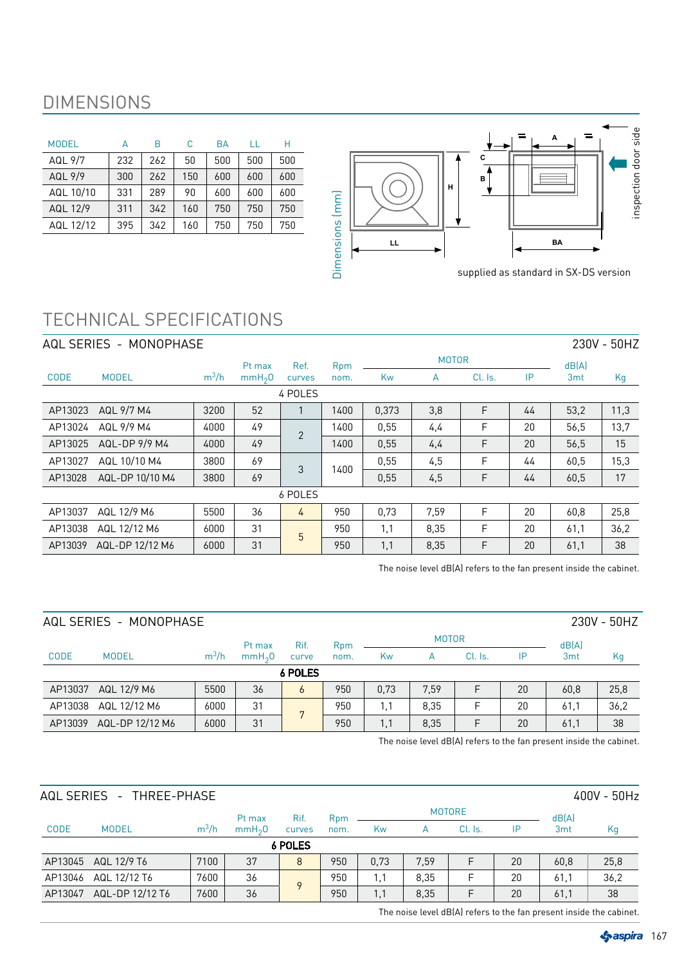## DIMENSIONS

| <b>MODEL</b> |     | R   | C   | BA  |     | Н   |
|--------------|-----|-----|-----|-----|-----|-----|
| AQL 9/7      | 232 | 262 | 50  | 500 | 500 | 500 |
| AQL 9/9      | 300 | 262 | 150 | 600 | 600 | 600 |
| AQL 10/10    | 331 | 289 | 90  | 600 | 600 | 600 |
| AQL 12/9     | 311 | 342 | 160 | 750 | 750 | 750 |
| AQL 12/12    | 395 | 342 | 160 | 750 | 750 | 750 |



supplied as standard in SX-DS version

## TECHNICAL SPECIFICATIONS

|             | AQL SERIES - MONOPHASE |         |                    |                |      |       |              |         |    |                 | 230V - 50HZ |
|-------------|------------------------|---------|--------------------|----------------|------|-------|--------------|---------|----|-----------------|-------------|
|             |                        |         | Pt max             | Ref.           | Rpm  |       | <b>MOTOR</b> |         |    | dB(A)           |             |
| <b>CODE</b> | <b>MODEL</b>           | $m^3/h$ | mmH <sub>2</sub> O | curves         | nom. | Kw    | A            | Cl. Is. | IP | 3 <sub>mt</sub> | Kg          |
|             |                        |         |                    | 4 POLES        |      |       |              |         |    |                 |             |
| AP13023     | AQL 9/7 M4             | 3200    | 52                 |                | 1400 | 0,373 | 3,8          | F       | 44 | 53,2            | 11,3        |
| AP13024     | AQL 9/9 M4             | 4000    | 49                 | $\overline{2}$ | 1400 | 0,55  | 4,4          | F       | 20 | 56,5            | 13,7        |
| AP13025     | AQL-DP 9/9 M4          | 4000    | 49                 |                | 1400 | 0,55  | 4,4          | F       | 20 | 56,5            | 15          |
| AP13027     | AQL 10/10 M4           | 3800    | 69                 | 3              | 1400 | 0,55  | 4,5          | F       | 44 | 60,5            | 15,3        |
| AP13028     | AQL-DP 10/10 M4        | 3800    | 69                 |                |      | 0,55  | 4,5          | F       | 44 | 60,5            | 17          |
|             |                        |         |                    | 6 POLES        |      |       |              |         |    |                 |             |
| AP13037     | AQL 12/9 M6            | 5500    | 36                 | 4              | 950  | 0.73  | 7,59         | F       | 20 | 60,8            | 25,8        |
| AP13038     | AQL 12/12 M6           | 6000    | 31                 | 5              | 950  | 1,1   | 8,35         | F       | 20 | 61,1            | 36,2        |
| AP13039     | AQL-DP 12/12 M6        | 6000    | 31                 |                | 950  | 1,1   | 8,35         | F       | 20 | 61,1            | 38          |

The noise level dB(A) refers to the fan present inside the cabinet.

|             | AQL SERIES - MONOPHASE |         |                    |         |                 |      |              |         |    |                 | 230V - 50HZ |
|-------------|------------------------|---------|--------------------|---------|-----------------|------|--------------|---------|----|-----------------|-------------|
|             |                        |         | Pt max             | Rif.    | R <sub>pm</sub> |      | <b>MOTOR</b> |         |    | dB(A)           |             |
| <b>CODE</b> | <b>MODEL</b>           | $m^3/h$ | mmH <sub>2</sub> 0 | curve   | nom.            | Kw   | А            | Cl. Is. | IP | 3 <sub>mt</sub> | Kg          |
|             |                        |         |                    | 6 POLES |                 |      |              |         |    |                 |             |
| AP13037     | AQL 12/9 M6            | 5500    | 36                 | b       | 950             | 0,73 | 7,59         | F       | 20 | 60,8            | 25,8        |
| AP13038     | AQL 12/12 M6           | 6000    | 31                 | 7       | 950             | 1.1  | 8.35         | F       | 20 | 61.1            | 36,2        |
| AP13039     | AQL-DP 12/12 M6        | 6000    | 31                 |         | 950             | 1,1  | 8,35         | F       | 20 | 61,1            | 38          |

The noise level dB(A) refers to the fan present inside the cabinet.

|             | AQL SERIES - THREE-PHASE |         |                    |             |      |      |      |               |    |                 | 400V - 50Hz |
|-------------|--------------------------|---------|--------------------|-------------|------|------|------|---------------|----|-----------------|-------------|
|             |                          |         | Pt max             | Rif.        | Rpm  |      |      | <b>MOTORE</b> |    | dB(A)           |             |
| <b>CODE</b> | <b>MODEL</b>             | $m^3/h$ | mmH <sub>2</sub> 0 | curves      | nom. | Kw   | А    | Cl. Is.       | IP | 3 <sub>mt</sub> | Kg          |
|             |                          |         |                    | 6 POLES     |      |      |      |               |    |                 |             |
|             | AP13045 AQL 12/9 T6      | 7100    | 37                 | 8           | 950  | 0,73 | 7,59 |               | 20 | 60,8            | 25,8        |
| AP13046     | AQL 12/12 T6             | 7600    | 36                 | $\mathsf Q$ | 950  | 1,1  | 8.35 | F             | 20 | 61,1            | 36,2        |
| AP13047     | AQL-DP 12/12 T6          | 7600    | 36                 |             | 950  | 1,1  | 8,35 | F             | 20 | 61.1            | 38          |

The noise level dB(A) refers to the fan present inside the cabinet.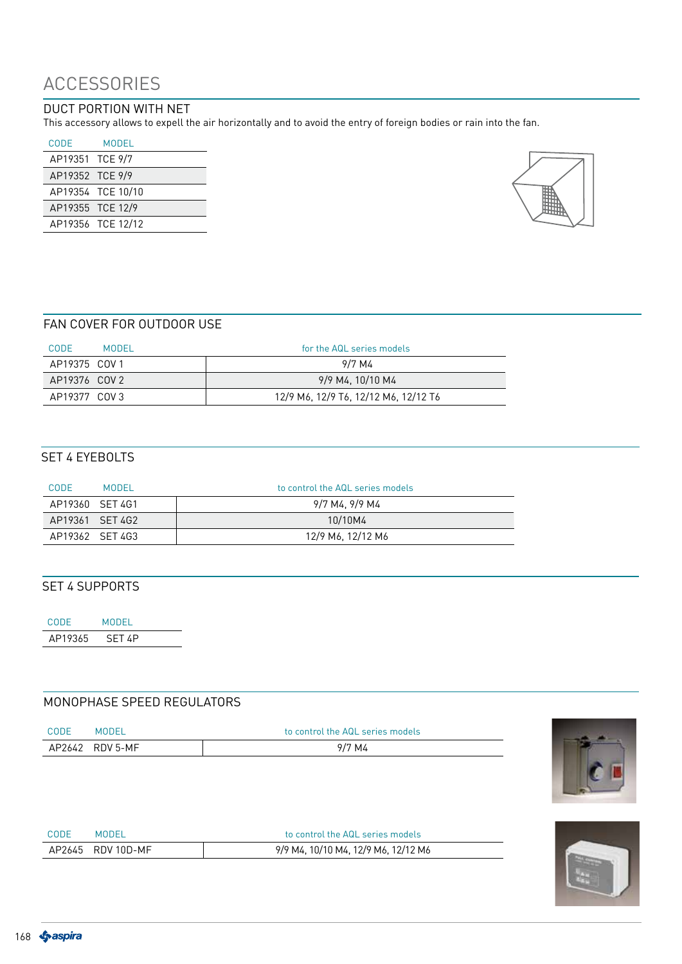## ACCESSORIES

## DUCT PORTION WITH NET

This accessory allows to expell the air horizontally and to avoid the entry of foreign bodies or rain into the fan.

| CODE             | MODEL             |
|------------------|-------------------|
| AP19351 TCE 9/7  |                   |
| AP19352 TCE 9/9  |                   |
|                  | AP19354 TCE 10/10 |
| AP19355 TCE 12/9 |                   |
|                  | AP19356 TCE 12/12 |



### FAN COVER FOR OUTDOOR USE

| <b>CODE</b><br>MODEL | for the AQL series models            |
|----------------------|--------------------------------------|
| AP19375 COV 1        | 9/7 M4                               |
| AP19376 COV 2        | 9/9 M4, 10/10 M4                     |
| AP19377 COV 3        | 12/9 M6, 12/9 T6, 12/12 M6, 12/12 T6 |

### SET 4 EYEBOLTS

| CODE<br>MODEL   | to control the AQL series models |
|-----------------|----------------------------------|
| AP19360 SFT4G1  | 9/7 M4, 9/9 M4                   |
| AP19361 SFT 4G2 | 10/10M4                          |
| AP19362 SFT 4G3 | 12/9 M6, 12/12 M6                |

## SET 4 SUPPORTS

CODE MODEL AP19365 SET 4P

## MONOPHASE SPEED REGULATORS

| <b>CODE</b> | <b>MODEL</b>    | to control the AQL series models |
|-------------|-----------------|----------------------------------|
|             | AP2642 RDV 5-MF | 9/7 M4                           |



| <b>CODE</b> | MUDEI             | to control the AQL series models    |
|-------------|-------------------|-------------------------------------|
|             | AP2645 RDV 10D-MF | 9/9 M4, 10/10 M4, 12/9 M6, 12/12 M6 |